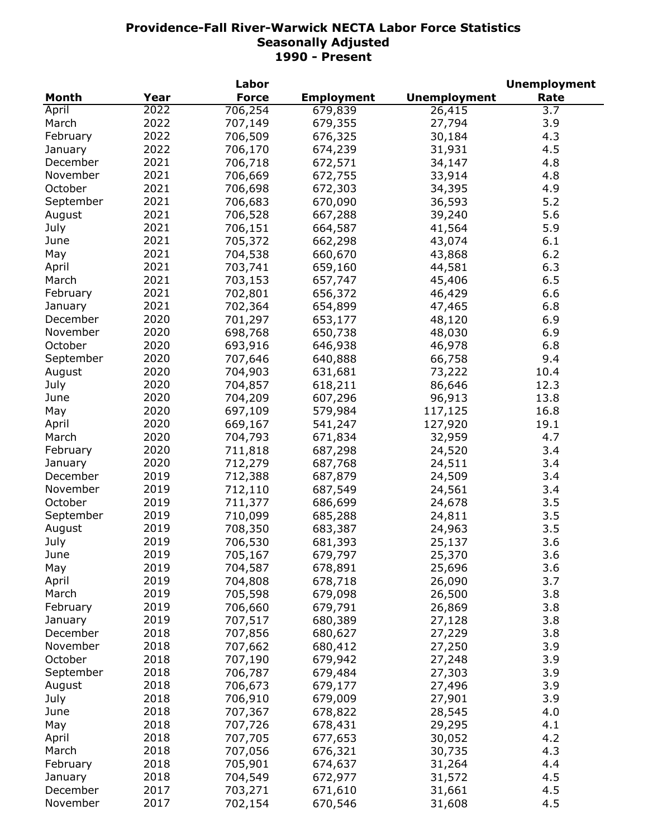|           |      | Labor        |                   |                     | <b>Unemployment</b> |
|-----------|------|--------------|-------------------|---------------------|---------------------|
| Month     | Year | <b>Force</b> | <b>Employment</b> | <b>Unemployment</b> | Rate                |
| April     | 2022 | 706,254      | 679,839           | 26,415              | 3.7                 |
| March     | 2022 | 707,149      | 679,355           | 27,794              | 3.9                 |
| February  | 2022 | 706,509      | 676,325           | 30,184              | 4.3                 |
| January   | 2022 | 706,170      | 674,239           | 31,931              | 4.5                 |
| December  | 2021 | 706,718      | 672,571           | 34,147              | 4.8                 |
| November  | 2021 | 706,669      | 672,755           | 33,914              | 4.8                 |
| October   | 2021 | 706,698      | 672,303           | 34,395              | 4.9                 |
| September | 2021 | 706,683      | 670,090           | 36,593              | 5.2                 |
| August    | 2021 | 706,528      | 667,288           | 39,240              | 5.6                 |
| July      | 2021 | 706,151      | 664,587           | 41,564              | 5.9                 |
|           | 2021 |              |                   |                     | 6.1                 |
| June      |      | 705,372      | 662,298           | 43,074              |                     |
| May       | 2021 | 704,538      | 660,670           | 43,868              | 6.2                 |
| April     | 2021 | 703,741      | 659,160           | 44,581              | 6.3                 |
| March     | 2021 | 703,153      | 657,747           | 45,406              | 6.5                 |
| February  | 2021 | 702,801      | 656,372           | 46,429              | 6.6                 |
| January   | 2021 | 702,364      | 654,899           | 47,465              | 6.8                 |
| December  | 2020 | 701,297      | 653,177           | 48,120              | 6.9                 |
| November  | 2020 | 698,768      | 650,738           | 48,030              | 6.9                 |
| October   | 2020 | 693,916      | 646,938           | 46,978              | 6.8                 |
| September | 2020 | 707,646      | 640,888           | 66,758              | 9.4                 |
| August    | 2020 | 704,903      | 631,681           | 73,222              | 10.4                |
| July      | 2020 | 704,857      | 618,211           | 86,646              | 12.3                |
| June      | 2020 | 704,209      | 607,296           | 96,913              | 13.8                |
| May       | 2020 | 697,109      | 579,984           | 117,125             | 16.8                |
| April     | 2020 | 669,167      | 541,247           | 127,920             | 19.1                |
| March     | 2020 | 704,793      | 671,834           | 32,959              | 4.7                 |
| February  | 2020 | 711,818      | 687,298           | 24,520              | 3.4                 |
| January   | 2020 | 712,279      | 687,768           | 24,511              | 3.4                 |
| December  | 2019 | 712,388      | 687,879           | 24,509              | 3.4                 |
| November  | 2019 | 712,110      | 687,549           | 24,561              | 3.4                 |
| October   | 2019 | 711,377      | 686,699           | 24,678              | 3.5                 |
| September | 2019 | 710,099      | 685,288           | 24,811              | 3.5                 |
| August    | 2019 | 708,350      | 683,387           | 24,963              | 3.5                 |
| July      | 2019 | 706,530      | 681,393           | 25,137              | 3.6                 |
| June      | 2019 | 705,167      | 679,797           | 25,370              | 3.6                 |
| May       | 2019 | 704,587      | 678,891           | 25,696              | 3.6                 |
|           | 2019 |              | 678,718           | 26,090              | 3.7                 |
| April     |      | 704,808      |                   |                     |                     |
| March     | 2019 | 705,598      | 679,098           | 26,500              | 3.8                 |
| February  | 2019 | 706,660      | 679,791           | 26,869              | 3.8                 |
| January   | 2019 | 707,517      | 680,389           | 27,128              | 3.8                 |
| December  | 2018 | 707,856      | 680,627           | 27,229              | 3.8                 |
| November  | 2018 | 707,662      | 680,412           | 27,250              | 3.9                 |
| October   | 2018 | 707,190      | 679,942           | 27,248              | 3.9                 |
| September | 2018 | 706,787      | 679,484           | 27,303              | 3.9                 |
| August    | 2018 | 706,673      | 679,177           | 27,496              | 3.9                 |
| July      | 2018 | 706,910      | 679,009           | 27,901              | 3.9                 |
| June      | 2018 | 707,367      | 678,822           | 28,545              | 4.0                 |
| May       | 2018 | 707,726      | 678,431           | 29,295              | 4.1                 |
| April     | 2018 | 707,705      | 677,653           | 30,052              | 4.2                 |
| March     | 2018 | 707,056      | 676,321           | 30,735              | 4.3                 |
| February  | 2018 | 705,901      | 674,637           | 31,264              | 4.4                 |
| January   | 2018 | 704,549      | 672,977           | 31,572              | 4.5                 |
| December  | 2017 | 703,271      | 671,610           | 31,661              | 4.5                 |
| November  | 2017 | 702,154      | 670,546           | 31,608              | 4.5                 |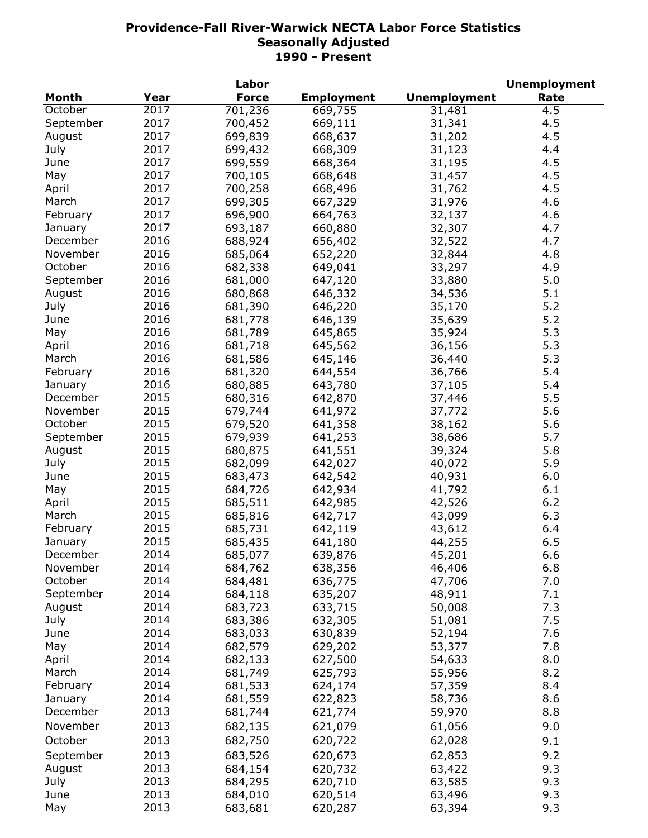|              |      | Labor        |                   |                     | <b>Unemployment</b> |
|--------------|------|--------------|-------------------|---------------------|---------------------|
| <b>Month</b> | Year | <b>Force</b> | <b>Employment</b> | <b>Unemployment</b> | Rate                |
| October      | 2017 | 701,236      | 669,755           | 31,481              | $4.\overline{5}$    |
| September    | 2017 | 700,452      | 669,111           | 31,341              | 4.5                 |
| August       | 2017 | 699,839      | 668,637           | 31,202              | 4.5                 |
| July         | 2017 | 699,432      | 668,309           | 31,123              | 4.4                 |
| June         | 2017 | 699,559      | 668,364           | 31,195              | 4.5                 |
| May          | 2017 | 700,105      | 668,648           | 31,457              | 4.5                 |
| April        | 2017 | 700,258      | 668,496           | 31,762              | 4.5                 |
| March        | 2017 | 699,305      | 667,329           | 31,976              | 4.6                 |
| February     | 2017 | 696,900      | 664,763           | 32,137              | 4.6                 |
| January      | 2017 | 693,187      | 660,880           | 32,307              | 4.7                 |
| December     | 2016 | 688,924      | 656,402           | 32,522              | 4.7                 |
| November     | 2016 | 685,064      | 652,220           | 32,844              | 4.8                 |
| October      | 2016 |              |                   |                     |                     |
|              |      | 682,338      | 649,041           | 33,297              | 4.9                 |
| September    | 2016 | 681,000      | 647,120           | 33,880              | 5.0                 |
| August       | 2016 | 680,868      | 646,332           | 34,536              | 5.1                 |
| July         | 2016 | 681,390      | 646,220           | 35,170              | 5.2                 |
| June         | 2016 | 681,778      | 646,139           | 35,639              | 5.2                 |
| May          | 2016 | 681,789      | 645,865           | 35,924              | 5.3                 |
| April        | 2016 | 681,718      | 645,562           | 36,156              | 5.3                 |
| March        | 2016 | 681,586      | 645,146           | 36,440              | 5.3                 |
| February     | 2016 | 681,320      | 644,554           | 36,766              | 5.4                 |
| January      | 2016 | 680,885      | 643,780           | 37,105              | 5.4                 |
| December     | 2015 | 680,316      | 642,870           | 37,446              | 5.5                 |
| November     | 2015 | 679,744      | 641,972           | 37,772              | 5.6                 |
| October      | 2015 | 679,520      | 641,358           | 38,162              | 5.6                 |
| September    | 2015 | 679,939      | 641,253           | 38,686              | 5.7                 |
| August       | 2015 | 680,875      | 641,551           | 39,324              | 5.8                 |
| July         | 2015 | 682,099      | 642,027           | 40,072              | 5.9                 |
| June         | 2015 | 683,473      | 642,542           | 40,931              | 6.0                 |
| May          | 2015 | 684,726      | 642,934           | 41,792              | 6.1                 |
| April        | 2015 | 685,511      | 642,985           | 42,526              | 6.2                 |
| March        | 2015 | 685,816      | 642,717           | 43,099              | 6.3                 |
| February     | 2015 | 685,731      | 642,119           | 43,612              | 6.4                 |
| January      | 2015 | 685,435      | 641,180           | 44,255              | 6.5                 |
| December     | 2014 | 685,077      | 639,876           | 45,201              | 6.6                 |
| November     | 2014 | 684,762      | 638,356           | 46,406              | 6.8                 |
| October      | 2014 | 684,481      | 636,775           | 47,706              | 7.0                 |
| September    | 2014 | 684,118      | 635,207           | 48,911              | 7.1                 |
| August       | 2014 | 683,723      | 633,715           | 50,008              | 7.3                 |
| July         | 2014 | 683,386      |                   | 51,081              | 7.5                 |
| June         | 2014 |              | 632,305           |                     |                     |
|              |      | 683,033      | 630,839           | 52,194              | 7.6                 |
| May          | 2014 | 682,579      | 629,202           | 53,377              | 7.8                 |
| April        | 2014 | 682,133      | 627,500           | 54,633              | 8.0                 |
| March        | 2014 | 681,749      | 625,793           | 55,956              | 8.2                 |
| February     | 2014 | 681,533      | 624,174           | 57,359              | 8.4                 |
| January      | 2014 | 681,559      | 622,823           | 58,736              | 8.6                 |
| December     | 2013 | 681,744      | 621,774           | 59,970              | 8.8                 |
| November     | 2013 | 682,135      | 621,079           | 61,056              | 9.0                 |
| October      | 2013 | 682,750      | 620,722           | 62,028              | 9.1                 |
| September    | 2013 | 683,526      | 620,673           | 62,853              | 9.2                 |
| August       | 2013 | 684,154      | 620,732           | 63,422              | 9.3                 |
| July         | 2013 | 684,295      | 620,710           | 63,585              | 9.3                 |
| June         | 2013 | 684,010      | 620,514           | 63,496              | 9.3                 |
| May          | 2013 | 683,681      | 620,287           | 63,394              | 9.3                 |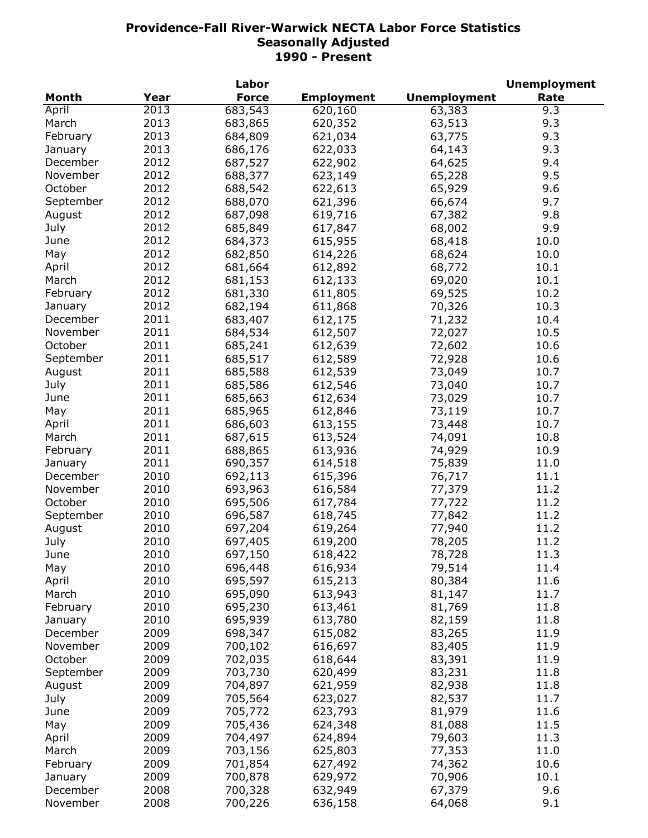| <b>Force</b><br><b>Employment</b><br><b>Unemployment</b><br>Rate<br>Month<br>Year<br>2013<br>683,543<br>63,383<br>April<br>620,160<br>9.3<br>2013<br>March<br>683,865<br>620,352<br>63,513<br>9.3<br>2013<br>9.3<br>February<br>684,809<br>621,034<br>63,775<br>2013<br>9.3<br>686,176<br>622,033<br>64,143<br>January<br>2012<br>622,902<br>9.4<br>December<br>687,527<br>64,625<br>2012<br>November<br>688,377<br>623,149<br>9.5<br>65,228<br>2012<br>October<br>688,542<br>622,613<br>65,929<br>9.6<br>2012<br>688,070<br>621,396<br>September<br>66,674<br>9.7<br>2012<br>687,098<br>619,716<br>67,382<br>9.8<br>August<br>July<br>2012<br>685,849<br>617,847<br>68,002<br>9.9<br>2012<br>684,373<br>615,955<br>68,418<br>10.0<br>June<br>2012<br>682,850<br>614,226<br>10.0<br>May<br>68,624<br>2012<br>612,892<br>10.1<br>April<br>681,664<br>68,772<br>2012<br>10.1<br>681,153<br>612,133<br>69,020<br>March<br>2012<br>681,330<br>611,805<br>10.2<br>February<br>69,525<br>2012<br>10.3<br>682,194<br>611,868<br>70,326<br>January<br>2011<br>10.4<br>December<br>683,407<br>612,175<br>71,232<br>2011<br>November<br>10.5<br>684,534<br>612,507<br>72,027<br>2011<br>October<br>612,639<br>10.6<br>685,241<br>72,602<br>2011<br>685,517<br>72,928<br>10.6<br>September<br>612,589<br>2011<br>73,049<br>10.7<br>August<br>685,588<br>612,539<br>2011<br>73,040<br>10.7<br>July<br>685,586<br>612,546<br>2011<br>612,634<br>73,029<br>June<br>685,663<br>10.7<br>2011<br>685,965<br>612,846<br>73,119<br>10.7<br>May<br>2011<br>686,603<br>613,155<br>73,448<br>10.7<br>April<br>2011<br>687,615<br>613,524<br>74,091<br>10.8<br>March<br>2011<br>688,865<br>613,936<br>74,929<br>10.9<br>February<br>2011<br>11.0<br>690,357<br>614,518<br>75,839<br>January<br>2010<br>76,717<br>11.1<br>692,113<br>615,396<br>December<br>2010<br>11.2<br>November<br>693,963<br>616,584<br>77,379<br>11.2<br>October<br>2010<br>695,506<br>617,784<br>77,722<br>2010<br>11.2<br>September<br>696,587<br>618,745<br>77,842<br>2010<br>11.2<br>697,204<br>619,264<br>77,940<br>August<br>2010<br>697,405<br>619,200<br>78,205<br>11.2<br>July<br>June<br>2010<br>697,150<br>618,422<br>78,728<br>11.3<br>2010<br>696,448<br>616,934<br>79,514<br>11.4<br>May<br>2010<br>11.6<br>695,597<br>615,213<br>80,384<br>April<br>2010<br>695,090<br>613,943<br>81,147<br>11.7<br>March<br>2010<br>695,230<br>613,461<br>81,769<br>11.8<br>February<br>2010<br>695,939<br>82,159<br>11.8<br>613,780<br>January<br>2009<br>698,347<br>615,082<br>83,265<br>11.9<br>December<br>700,102<br>2009<br>616,697<br>83,405<br>11.9<br>November<br>702,035<br>83,391<br>October<br>2009<br>618,644<br>11.9<br>703,730<br>83,231<br>2009<br>620,499<br>11.8<br>September<br>704,897<br>2009<br>621,959<br>82,938<br>11.8<br>August<br>11.7<br>July<br>2009<br>705,564<br>623,027<br>82,537<br>11.6<br>2009<br>705,772<br>623,793<br>81,979<br>June<br>11.5<br>2009<br>705,436<br>624,348<br>May<br>81,088<br>2009<br>11.3<br>704,497<br>624,894<br>79,603<br>April<br>2009<br>703,156<br>625,803<br>77,353<br>11.0<br>March<br>2009<br>701,854<br>74,362<br>10.6<br>February<br>627,492<br>2009<br>700,878<br>629,972<br>70,906<br>10.1<br>January<br>9.6<br>2008<br>700,328<br>632,949<br>67,379<br>December |          |      | Labor   |         |        | <b>Unemployment</b> |
|-------------------------------------------------------------------------------------------------------------------------------------------------------------------------------------------------------------------------------------------------------------------------------------------------------------------------------------------------------------------------------------------------------------------------------------------------------------------------------------------------------------------------------------------------------------------------------------------------------------------------------------------------------------------------------------------------------------------------------------------------------------------------------------------------------------------------------------------------------------------------------------------------------------------------------------------------------------------------------------------------------------------------------------------------------------------------------------------------------------------------------------------------------------------------------------------------------------------------------------------------------------------------------------------------------------------------------------------------------------------------------------------------------------------------------------------------------------------------------------------------------------------------------------------------------------------------------------------------------------------------------------------------------------------------------------------------------------------------------------------------------------------------------------------------------------------------------------------------------------------------------------------------------------------------------------------------------------------------------------------------------------------------------------------------------------------------------------------------------------------------------------------------------------------------------------------------------------------------------------------------------------------------------------------------------------------------------------------------------------------------------------------------------------------------------------------------------------------------------------------------------------------------------------------------------------------------------------------------------------------------------------------------------------------------------------------------------------------------------------------------------------------------------------------------------------------------------------------------------------------------------------------------------------------------------------------------------------------------------------------------------------------------------------------------------------------------------------------------------------------------------------------------------------------------------------------------------------------------------------------------------------------------------------|----------|------|---------|---------|--------|---------------------|
|                                                                                                                                                                                                                                                                                                                                                                                                                                                                                                                                                                                                                                                                                                                                                                                                                                                                                                                                                                                                                                                                                                                                                                                                                                                                                                                                                                                                                                                                                                                                                                                                                                                                                                                                                                                                                                                                                                                                                                                                                                                                                                                                                                                                                                                                                                                                                                                                                                                                                                                                                                                                                                                                                                                                                                                                                                                                                                                                                                                                                                                                                                                                                                                                                                                                                     |          |      |         |         |        |                     |
|                                                                                                                                                                                                                                                                                                                                                                                                                                                                                                                                                                                                                                                                                                                                                                                                                                                                                                                                                                                                                                                                                                                                                                                                                                                                                                                                                                                                                                                                                                                                                                                                                                                                                                                                                                                                                                                                                                                                                                                                                                                                                                                                                                                                                                                                                                                                                                                                                                                                                                                                                                                                                                                                                                                                                                                                                                                                                                                                                                                                                                                                                                                                                                                                                                                                                     |          |      |         |         |        |                     |
|                                                                                                                                                                                                                                                                                                                                                                                                                                                                                                                                                                                                                                                                                                                                                                                                                                                                                                                                                                                                                                                                                                                                                                                                                                                                                                                                                                                                                                                                                                                                                                                                                                                                                                                                                                                                                                                                                                                                                                                                                                                                                                                                                                                                                                                                                                                                                                                                                                                                                                                                                                                                                                                                                                                                                                                                                                                                                                                                                                                                                                                                                                                                                                                                                                                                                     |          |      |         |         |        |                     |
|                                                                                                                                                                                                                                                                                                                                                                                                                                                                                                                                                                                                                                                                                                                                                                                                                                                                                                                                                                                                                                                                                                                                                                                                                                                                                                                                                                                                                                                                                                                                                                                                                                                                                                                                                                                                                                                                                                                                                                                                                                                                                                                                                                                                                                                                                                                                                                                                                                                                                                                                                                                                                                                                                                                                                                                                                                                                                                                                                                                                                                                                                                                                                                                                                                                                                     |          |      |         |         |        |                     |
|                                                                                                                                                                                                                                                                                                                                                                                                                                                                                                                                                                                                                                                                                                                                                                                                                                                                                                                                                                                                                                                                                                                                                                                                                                                                                                                                                                                                                                                                                                                                                                                                                                                                                                                                                                                                                                                                                                                                                                                                                                                                                                                                                                                                                                                                                                                                                                                                                                                                                                                                                                                                                                                                                                                                                                                                                                                                                                                                                                                                                                                                                                                                                                                                                                                                                     |          |      |         |         |        |                     |
|                                                                                                                                                                                                                                                                                                                                                                                                                                                                                                                                                                                                                                                                                                                                                                                                                                                                                                                                                                                                                                                                                                                                                                                                                                                                                                                                                                                                                                                                                                                                                                                                                                                                                                                                                                                                                                                                                                                                                                                                                                                                                                                                                                                                                                                                                                                                                                                                                                                                                                                                                                                                                                                                                                                                                                                                                                                                                                                                                                                                                                                                                                                                                                                                                                                                                     |          |      |         |         |        |                     |
|                                                                                                                                                                                                                                                                                                                                                                                                                                                                                                                                                                                                                                                                                                                                                                                                                                                                                                                                                                                                                                                                                                                                                                                                                                                                                                                                                                                                                                                                                                                                                                                                                                                                                                                                                                                                                                                                                                                                                                                                                                                                                                                                                                                                                                                                                                                                                                                                                                                                                                                                                                                                                                                                                                                                                                                                                                                                                                                                                                                                                                                                                                                                                                                                                                                                                     |          |      |         |         |        |                     |
|                                                                                                                                                                                                                                                                                                                                                                                                                                                                                                                                                                                                                                                                                                                                                                                                                                                                                                                                                                                                                                                                                                                                                                                                                                                                                                                                                                                                                                                                                                                                                                                                                                                                                                                                                                                                                                                                                                                                                                                                                                                                                                                                                                                                                                                                                                                                                                                                                                                                                                                                                                                                                                                                                                                                                                                                                                                                                                                                                                                                                                                                                                                                                                                                                                                                                     |          |      |         |         |        |                     |
|                                                                                                                                                                                                                                                                                                                                                                                                                                                                                                                                                                                                                                                                                                                                                                                                                                                                                                                                                                                                                                                                                                                                                                                                                                                                                                                                                                                                                                                                                                                                                                                                                                                                                                                                                                                                                                                                                                                                                                                                                                                                                                                                                                                                                                                                                                                                                                                                                                                                                                                                                                                                                                                                                                                                                                                                                                                                                                                                                                                                                                                                                                                                                                                                                                                                                     |          |      |         |         |        |                     |
|                                                                                                                                                                                                                                                                                                                                                                                                                                                                                                                                                                                                                                                                                                                                                                                                                                                                                                                                                                                                                                                                                                                                                                                                                                                                                                                                                                                                                                                                                                                                                                                                                                                                                                                                                                                                                                                                                                                                                                                                                                                                                                                                                                                                                                                                                                                                                                                                                                                                                                                                                                                                                                                                                                                                                                                                                                                                                                                                                                                                                                                                                                                                                                                                                                                                                     |          |      |         |         |        |                     |
|                                                                                                                                                                                                                                                                                                                                                                                                                                                                                                                                                                                                                                                                                                                                                                                                                                                                                                                                                                                                                                                                                                                                                                                                                                                                                                                                                                                                                                                                                                                                                                                                                                                                                                                                                                                                                                                                                                                                                                                                                                                                                                                                                                                                                                                                                                                                                                                                                                                                                                                                                                                                                                                                                                                                                                                                                                                                                                                                                                                                                                                                                                                                                                                                                                                                                     |          |      |         |         |        |                     |
|                                                                                                                                                                                                                                                                                                                                                                                                                                                                                                                                                                                                                                                                                                                                                                                                                                                                                                                                                                                                                                                                                                                                                                                                                                                                                                                                                                                                                                                                                                                                                                                                                                                                                                                                                                                                                                                                                                                                                                                                                                                                                                                                                                                                                                                                                                                                                                                                                                                                                                                                                                                                                                                                                                                                                                                                                                                                                                                                                                                                                                                                                                                                                                                                                                                                                     |          |      |         |         |        |                     |
|                                                                                                                                                                                                                                                                                                                                                                                                                                                                                                                                                                                                                                                                                                                                                                                                                                                                                                                                                                                                                                                                                                                                                                                                                                                                                                                                                                                                                                                                                                                                                                                                                                                                                                                                                                                                                                                                                                                                                                                                                                                                                                                                                                                                                                                                                                                                                                                                                                                                                                                                                                                                                                                                                                                                                                                                                                                                                                                                                                                                                                                                                                                                                                                                                                                                                     |          |      |         |         |        |                     |
|                                                                                                                                                                                                                                                                                                                                                                                                                                                                                                                                                                                                                                                                                                                                                                                                                                                                                                                                                                                                                                                                                                                                                                                                                                                                                                                                                                                                                                                                                                                                                                                                                                                                                                                                                                                                                                                                                                                                                                                                                                                                                                                                                                                                                                                                                                                                                                                                                                                                                                                                                                                                                                                                                                                                                                                                                                                                                                                                                                                                                                                                                                                                                                                                                                                                                     |          |      |         |         |        |                     |
|                                                                                                                                                                                                                                                                                                                                                                                                                                                                                                                                                                                                                                                                                                                                                                                                                                                                                                                                                                                                                                                                                                                                                                                                                                                                                                                                                                                                                                                                                                                                                                                                                                                                                                                                                                                                                                                                                                                                                                                                                                                                                                                                                                                                                                                                                                                                                                                                                                                                                                                                                                                                                                                                                                                                                                                                                                                                                                                                                                                                                                                                                                                                                                                                                                                                                     |          |      |         |         |        |                     |
|                                                                                                                                                                                                                                                                                                                                                                                                                                                                                                                                                                                                                                                                                                                                                                                                                                                                                                                                                                                                                                                                                                                                                                                                                                                                                                                                                                                                                                                                                                                                                                                                                                                                                                                                                                                                                                                                                                                                                                                                                                                                                                                                                                                                                                                                                                                                                                                                                                                                                                                                                                                                                                                                                                                                                                                                                                                                                                                                                                                                                                                                                                                                                                                                                                                                                     |          |      |         |         |        |                     |
|                                                                                                                                                                                                                                                                                                                                                                                                                                                                                                                                                                                                                                                                                                                                                                                                                                                                                                                                                                                                                                                                                                                                                                                                                                                                                                                                                                                                                                                                                                                                                                                                                                                                                                                                                                                                                                                                                                                                                                                                                                                                                                                                                                                                                                                                                                                                                                                                                                                                                                                                                                                                                                                                                                                                                                                                                                                                                                                                                                                                                                                                                                                                                                                                                                                                                     |          |      |         |         |        |                     |
|                                                                                                                                                                                                                                                                                                                                                                                                                                                                                                                                                                                                                                                                                                                                                                                                                                                                                                                                                                                                                                                                                                                                                                                                                                                                                                                                                                                                                                                                                                                                                                                                                                                                                                                                                                                                                                                                                                                                                                                                                                                                                                                                                                                                                                                                                                                                                                                                                                                                                                                                                                                                                                                                                                                                                                                                                                                                                                                                                                                                                                                                                                                                                                                                                                                                                     |          |      |         |         |        |                     |
|                                                                                                                                                                                                                                                                                                                                                                                                                                                                                                                                                                                                                                                                                                                                                                                                                                                                                                                                                                                                                                                                                                                                                                                                                                                                                                                                                                                                                                                                                                                                                                                                                                                                                                                                                                                                                                                                                                                                                                                                                                                                                                                                                                                                                                                                                                                                                                                                                                                                                                                                                                                                                                                                                                                                                                                                                                                                                                                                                                                                                                                                                                                                                                                                                                                                                     |          |      |         |         |        |                     |
|                                                                                                                                                                                                                                                                                                                                                                                                                                                                                                                                                                                                                                                                                                                                                                                                                                                                                                                                                                                                                                                                                                                                                                                                                                                                                                                                                                                                                                                                                                                                                                                                                                                                                                                                                                                                                                                                                                                                                                                                                                                                                                                                                                                                                                                                                                                                                                                                                                                                                                                                                                                                                                                                                                                                                                                                                                                                                                                                                                                                                                                                                                                                                                                                                                                                                     |          |      |         |         |        |                     |
|                                                                                                                                                                                                                                                                                                                                                                                                                                                                                                                                                                                                                                                                                                                                                                                                                                                                                                                                                                                                                                                                                                                                                                                                                                                                                                                                                                                                                                                                                                                                                                                                                                                                                                                                                                                                                                                                                                                                                                                                                                                                                                                                                                                                                                                                                                                                                                                                                                                                                                                                                                                                                                                                                                                                                                                                                                                                                                                                                                                                                                                                                                                                                                                                                                                                                     |          |      |         |         |        |                     |
|                                                                                                                                                                                                                                                                                                                                                                                                                                                                                                                                                                                                                                                                                                                                                                                                                                                                                                                                                                                                                                                                                                                                                                                                                                                                                                                                                                                                                                                                                                                                                                                                                                                                                                                                                                                                                                                                                                                                                                                                                                                                                                                                                                                                                                                                                                                                                                                                                                                                                                                                                                                                                                                                                                                                                                                                                                                                                                                                                                                                                                                                                                                                                                                                                                                                                     |          |      |         |         |        |                     |
|                                                                                                                                                                                                                                                                                                                                                                                                                                                                                                                                                                                                                                                                                                                                                                                                                                                                                                                                                                                                                                                                                                                                                                                                                                                                                                                                                                                                                                                                                                                                                                                                                                                                                                                                                                                                                                                                                                                                                                                                                                                                                                                                                                                                                                                                                                                                                                                                                                                                                                                                                                                                                                                                                                                                                                                                                                                                                                                                                                                                                                                                                                                                                                                                                                                                                     |          |      |         |         |        |                     |
|                                                                                                                                                                                                                                                                                                                                                                                                                                                                                                                                                                                                                                                                                                                                                                                                                                                                                                                                                                                                                                                                                                                                                                                                                                                                                                                                                                                                                                                                                                                                                                                                                                                                                                                                                                                                                                                                                                                                                                                                                                                                                                                                                                                                                                                                                                                                                                                                                                                                                                                                                                                                                                                                                                                                                                                                                                                                                                                                                                                                                                                                                                                                                                                                                                                                                     |          |      |         |         |        |                     |
|                                                                                                                                                                                                                                                                                                                                                                                                                                                                                                                                                                                                                                                                                                                                                                                                                                                                                                                                                                                                                                                                                                                                                                                                                                                                                                                                                                                                                                                                                                                                                                                                                                                                                                                                                                                                                                                                                                                                                                                                                                                                                                                                                                                                                                                                                                                                                                                                                                                                                                                                                                                                                                                                                                                                                                                                                                                                                                                                                                                                                                                                                                                                                                                                                                                                                     |          |      |         |         |        |                     |
|                                                                                                                                                                                                                                                                                                                                                                                                                                                                                                                                                                                                                                                                                                                                                                                                                                                                                                                                                                                                                                                                                                                                                                                                                                                                                                                                                                                                                                                                                                                                                                                                                                                                                                                                                                                                                                                                                                                                                                                                                                                                                                                                                                                                                                                                                                                                                                                                                                                                                                                                                                                                                                                                                                                                                                                                                                                                                                                                                                                                                                                                                                                                                                                                                                                                                     |          |      |         |         |        |                     |
|                                                                                                                                                                                                                                                                                                                                                                                                                                                                                                                                                                                                                                                                                                                                                                                                                                                                                                                                                                                                                                                                                                                                                                                                                                                                                                                                                                                                                                                                                                                                                                                                                                                                                                                                                                                                                                                                                                                                                                                                                                                                                                                                                                                                                                                                                                                                                                                                                                                                                                                                                                                                                                                                                                                                                                                                                                                                                                                                                                                                                                                                                                                                                                                                                                                                                     |          |      |         |         |        |                     |
|                                                                                                                                                                                                                                                                                                                                                                                                                                                                                                                                                                                                                                                                                                                                                                                                                                                                                                                                                                                                                                                                                                                                                                                                                                                                                                                                                                                                                                                                                                                                                                                                                                                                                                                                                                                                                                                                                                                                                                                                                                                                                                                                                                                                                                                                                                                                                                                                                                                                                                                                                                                                                                                                                                                                                                                                                                                                                                                                                                                                                                                                                                                                                                                                                                                                                     |          |      |         |         |        |                     |
|                                                                                                                                                                                                                                                                                                                                                                                                                                                                                                                                                                                                                                                                                                                                                                                                                                                                                                                                                                                                                                                                                                                                                                                                                                                                                                                                                                                                                                                                                                                                                                                                                                                                                                                                                                                                                                                                                                                                                                                                                                                                                                                                                                                                                                                                                                                                                                                                                                                                                                                                                                                                                                                                                                                                                                                                                                                                                                                                                                                                                                                                                                                                                                                                                                                                                     |          |      |         |         |        |                     |
|                                                                                                                                                                                                                                                                                                                                                                                                                                                                                                                                                                                                                                                                                                                                                                                                                                                                                                                                                                                                                                                                                                                                                                                                                                                                                                                                                                                                                                                                                                                                                                                                                                                                                                                                                                                                                                                                                                                                                                                                                                                                                                                                                                                                                                                                                                                                                                                                                                                                                                                                                                                                                                                                                                                                                                                                                                                                                                                                                                                                                                                                                                                                                                                                                                                                                     |          |      |         |         |        |                     |
|                                                                                                                                                                                                                                                                                                                                                                                                                                                                                                                                                                                                                                                                                                                                                                                                                                                                                                                                                                                                                                                                                                                                                                                                                                                                                                                                                                                                                                                                                                                                                                                                                                                                                                                                                                                                                                                                                                                                                                                                                                                                                                                                                                                                                                                                                                                                                                                                                                                                                                                                                                                                                                                                                                                                                                                                                                                                                                                                                                                                                                                                                                                                                                                                                                                                                     |          |      |         |         |        |                     |
|                                                                                                                                                                                                                                                                                                                                                                                                                                                                                                                                                                                                                                                                                                                                                                                                                                                                                                                                                                                                                                                                                                                                                                                                                                                                                                                                                                                                                                                                                                                                                                                                                                                                                                                                                                                                                                                                                                                                                                                                                                                                                                                                                                                                                                                                                                                                                                                                                                                                                                                                                                                                                                                                                                                                                                                                                                                                                                                                                                                                                                                                                                                                                                                                                                                                                     |          |      |         |         |        |                     |
|                                                                                                                                                                                                                                                                                                                                                                                                                                                                                                                                                                                                                                                                                                                                                                                                                                                                                                                                                                                                                                                                                                                                                                                                                                                                                                                                                                                                                                                                                                                                                                                                                                                                                                                                                                                                                                                                                                                                                                                                                                                                                                                                                                                                                                                                                                                                                                                                                                                                                                                                                                                                                                                                                                                                                                                                                                                                                                                                                                                                                                                                                                                                                                                                                                                                                     |          |      |         |         |        |                     |
|                                                                                                                                                                                                                                                                                                                                                                                                                                                                                                                                                                                                                                                                                                                                                                                                                                                                                                                                                                                                                                                                                                                                                                                                                                                                                                                                                                                                                                                                                                                                                                                                                                                                                                                                                                                                                                                                                                                                                                                                                                                                                                                                                                                                                                                                                                                                                                                                                                                                                                                                                                                                                                                                                                                                                                                                                                                                                                                                                                                                                                                                                                                                                                                                                                                                                     |          |      |         |         |        |                     |
|                                                                                                                                                                                                                                                                                                                                                                                                                                                                                                                                                                                                                                                                                                                                                                                                                                                                                                                                                                                                                                                                                                                                                                                                                                                                                                                                                                                                                                                                                                                                                                                                                                                                                                                                                                                                                                                                                                                                                                                                                                                                                                                                                                                                                                                                                                                                                                                                                                                                                                                                                                                                                                                                                                                                                                                                                                                                                                                                                                                                                                                                                                                                                                                                                                                                                     |          |      |         |         |        |                     |
|                                                                                                                                                                                                                                                                                                                                                                                                                                                                                                                                                                                                                                                                                                                                                                                                                                                                                                                                                                                                                                                                                                                                                                                                                                                                                                                                                                                                                                                                                                                                                                                                                                                                                                                                                                                                                                                                                                                                                                                                                                                                                                                                                                                                                                                                                                                                                                                                                                                                                                                                                                                                                                                                                                                                                                                                                                                                                                                                                                                                                                                                                                                                                                                                                                                                                     |          |      |         |         |        |                     |
|                                                                                                                                                                                                                                                                                                                                                                                                                                                                                                                                                                                                                                                                                                                                                                                                                                                                                                                                                                                                                                                                                                                                                                                                                                                                                                                                                                                                                                                                                                                                                                                                                                                                                                                                                                                                                                                                                                                                                                                                                                                                                                                                                                                                                                                                                                                                                                                                                                                                                                                                                                                                                                                                                                                                                                                                                                                                                                                                                                                                                                                                                                                                                                                                                                                                                     |          |      |         |         |        |                     |
|                                                                                                                                                                                                                                                                                                                                                                                                                                                                                                                                                                                                                                                                                                                                                                                                                                                                                                                                                                                                                                                                                                                                                                                                                                                                                                                                                                                                                                                                                                                                                                                                                                                                                                                                                                                                                                                                                                                                                                                                                                                                                                                                                                                                                                                                                                                                                                                                                                                                                                                                                                                                                                                                                                                                                                                                                                                                                                                                                                                                                                                                                                                                                                                                                                                                                     |          |      |         |         |        |                     |
|                                                                                                                                                                                                                                                                                                                                                                                                                                                                                                                                                                                                                                                                                                                                                                                                                                                                                                                                                                                                                                                                                                                                                                                                                                                                                                                                                                                                                                                                                                                                                                                                                                                                                                                                                                                                                                                                                                                                                                                                                                                                                                                                                                                                                                                                                                                                                                                                                                                                                                                                                                                                                                                                                                                                                                                                                                                                                                                                                                                                                                                                                                                                                                                                                                                                                     |          |      |         |         |        |                     |
|                                                                                                                                                                                                                                                                                                                                                                                                                                                                                                                                                                                                                                                                                                                                                                                                                                                                                                                                                                                                                                                                                                                                                                                                                                                                                                                                                                                                                                                                                                                                                                                                                                                                                                                                                                                                                                                                                                                                                                                                                                                                                                                                                                                                                                                                                                                                                                                                                                                                                                                                                                                                                                                                                                                                                                                                                                                                                                                                                                                                                                                                                                                                                                                                                                                                                     |          |      |         |         |        |                     |
|                                                                                                                                                                                                                                                                                                                                                                                                                                                                                                                                                                                                                                                                                                                                                                                                                                                                                                                                                                                                                                                                                                                                                                                                                                                                                                                                                                                                                                                                                                                                                                                                                                                                                                                                                                                                                                                                                                                                                                                                                                                                                                                                                                                                                                                                                                                                                                                                                                                                                                                                                                                                                                                                                                                                                                                                                                                                                                                                                                                                                                                                                                                                                                                                                                                                                     |          |      |         |         |        |                     |
|                                                                                                                                                                                                                                                                                                                                                                                                                                                                                                                                                                                                                                                                                                                                                                                                                                                                                                                                                                                                                                                                                                                                                                                                                                                                                                                                                                                                                                                                                                                                                                                                                                                                                                                                                                                                                                                                                                                                                                                                                                                                                                                                                                                                                                                                                                                                                                                                                                                                                                                                                                                                                                                                                                                                                                                                                                                                                                                                                                                                                                                                                                                                                                                                                                                                                     |          |      |         |         |        |                     |
|                                                                                                                                                                                                                                                                                                                                                                                                                                                                                                                                                                                                                                                                                                                                                                                                                                                                                                                                                                                                                                                                                                                                                                                                                                                                                                                                                                                                                                                                                                                                                                                                                                                                                                                                                                                                                                                                                                                                                                                                                                                                                                                                                                                                                                                                                                                                                                                                                                                                                                                                                                                                                                                                                                                                                                                                                                                                                                                                                                                                                                                                                                                                                                                                                                                                                     |          |      |         |         |        |                     |
|                                                                                                                                                                                                                                                                                                                                                                                                                                                                                                                                                                                                                                                                                                                                                                                                                                                                                                                                                                                                                                                                                                                                                                                                                                                                                                                                                                                                                                                                                                                                                                                                                                                                                                                                                                                                                                                                                                                                                                                                                                                                                                                                                                                                                                                                                                                                                                                                                                                                                                                                                                                                                                                                                                                                                                                                                                                                                                                                                                                                                                                                                                                                                                                                                                                                                     |          |      |         |         |        |                     |
|                                                                                                                                                                                                                                                                                                                                                                                                                                                                                                                                                                                                                                                                                                                                                                                                                                                                                                                                                                                                                                                                                                                                                                                                                                                                                                                                                                                                                                                                                                                                                                                                                                                                                                                                                                                                                                                                                                                                                                                                                                                                                                                                                                                                                                                                                                                                                                                                                                                                                                                                                                                                                                                                                                                                                                                                                                                                                                                                                                                                                                                                                                                                                                                                                                                                                     |          |      |         |         |        |                     |
|                                                                                                                                                                                                                                                                                                                                                                                                                                                                                                                                                                                                                                                                                                                                                                                                                                                                                                                                                                                                                                                                                                                                                                                                                                                                                                                                                                                                                                                                                                                                                                                                                                                                                                                                                                                                                                                                                                                                                                                                                                                                                                                                                                                                                                                                                                                                                                                                                                                                                                                                                                                                                                                                                                                                                                                                                                                                                                                                                                                                                                                                                                                                                                                                                                                                                     |          |      |         |         |        |                     |
|                                                                                                                                                                                                                                                                                                                                                                                                                                                                                                                                                                                                                                                                                                                                                                                                                                                                                                                                                                                                                                                                                                                                                                                                                                                                                                                                                                                                                                                                                                                                                                                                                                                                                                                                                                                                                                                                                                                                                                                                                                                                                                                                                                                                                                                                                                                                                                                                                                                                                                                                                                                                                                                                                                                                                                                                                                                                                                                                                                                                                                                                                                                                                                                                                                                                                     |          |      |         |         |        |                     |
|                                                                                                                                                                                                                                                                                                                                                                                                                                                                                                                                                                                                                                                                                                                                                                                                                                                                                                                                                                                                                                                                                                                                                                                                                                                                                                                                                                                                                                                                                                                                                                                                                                                                                                                                                                                                                                                                                                                                                                                                                                                                                                                                                                                                                                                                                                                                                                                                                                                                                                                                                                                                                                                                                                                                                                                                                                                                                                                                                                                                                                                                                                                                                                                                                                                                                     |          |      |         |         |        |                     |
|                                                                                                                                                                                                                                                                                                                                                                                                                                                                                                                                                                                                                                                                                                                                                                                                                                                                                                                                                                                                                                                                                                                                                                                                                                                                                                                                                                                                                                                                                                                                                                                                                                                                                                                                                                                                                                                                                                                                                                                                                                                                                                                                                                                                                                                                                                                                                                                                                                                                                                                                                                                                                                                                                                                                                                                                                                                                                                                                                                                                                                                                                                                                                                                                                                                                                     |          |      |         |         |        |                     |
|                                                                                                                                                                                                                                                                                                                                                                                                                                                                                                                                                                                                                                                                                                                                                                                                                                                                                                                                                                                                                                                                                                                                                                                                                                                                                                                                                                                                                                                                                                                                                                                                                                                                                                                                                                                                                                                                                                                                                                                                                                                                                                                                                                                                                                                                                                                                                                                                                                                                                                                                                                                                                                                                                                                                                                                                                                                                                                                                                                                                                                                                                                                                                                                                                                                                                     |          |      |         |         |        |                     |
|                                                                                                                                                                                                                                                                                                                                                                                                                                                                                                                                                                                                                                                                                                                                                                                                                                                                                                                                                                                                                                                                                                                                                                                                                                                                                                                                                                                                                                                                                                                                                                                                                                                                                                                                                                                                                                                                                                                                                                                                                                                                                                                                                                                                                                                                                                                                                                                                                                                                                                                                                                                                                                                                                                                                                                                                                                                                                                                                                                                                                                                                                                                                                                                                                                                                                     |          |      |         |         |        |                     |
|                                                                                                                                                                                                                                                                                                                                                                                                                                                                                                                                                                                                                                                                                                                                                                                                                                                                                                                                                                                                                                                                                                                                                                                                                                                                                                                                                                                                                                                                                                                                                                                                                                                                                                                                                                                                                                                                                                                                                                                                                                                                                                                                                                                                                                                                                                                                                                                                                                                                                                                                                                                                                                                                                                                                                                                                                                                                                                                                                                                                                                                                                                                                                                                                                                                                                     |          |      |         |         |        |                     |
|                                                                                                                                                                                                                                                                                                                                                                                                                                                                                                                                                                                                                                                                                                                                                                                                                                                                                                                                                                                                                                                                                                                                                                                                                                                                                                                                                                                                                                                                                                                                                                                                                                                                                                                                                                                                                                                                                                                                                                                                                                                                                                                                                                                                                                                                                                                                                                                                                                                                                                                                                                                                                                                                                                                                                                                                                                                                                                                                                                                                                                                                                                                                                                                                                                                                                     |          |      |         |         |        |                     |
|                                                                                                                                                                                                                                                                                                                                                                                                                                                                                                                                                                                                                                                                                                                                                                                                                                                                                                                                                                                                                                                                                                                                                                                                                                                                                                                                                                                                                                                                                                                                                                                                                                                                                                                                                                                                                                                                                                                                                                                                                                                                                                                                                                                                                                                                                                                                                                                                                                                                                                                                                                                                                                                                                                                                                                                                                                                                                                                                                                                                                                                                                                                                                                                                                                                                                     |          |      |         |         |        |                     |
|                                                                                                                                                                                                                                                                                                                                                                                                                                                                                                                                                                                                                                                                                                                                                                                                                                                                                                                                                                                                                                                                                                                                                                                                                                                                                                                                                                                                                                                                                                                                                                                                                                                                                                                                                                                                                                                                                                                                                                                                                                                                                                                                                                                                                                                                                                                                                                                                                                                                                                                                                                                                                                                                                                                                                                                                                                                                                                                                                                                                                                                                                                                                                                                                                                                                                     |          |      |         |         |        |                     |
|                                                                                                                                                                                                                                                                                                                                                                                                                                                                                                                                                                                                                                                                                                                                                                                                                                                                                                                                                                                                                                                                                                                                                                                                                                                                                                                                                                                                                                                                                                                                                                                                                                                                                                                                                                                                                                                                                                                                                                                                                                                                                                                                                                                                                                                                                                                                                                                                                                                                                                                                                                                                                                                                                                                                                                                                                                                                                                                                                                                                                                                                                                                                                                                                                                                                                     |          |      |         |         |        |                     |
|                                                                                                                                                                                                                                                                                                                                                                                                                                                                                                                                                                                                                                                                                                                                                                                                                                                                                                                                                                                                                                                                                                                                                                                                                                                                                                                                                                                                                                                                                                                                                                                                                                                                                                                                                                                                                                                                                                                                                                                                                                                                                                                                                                                                                                                                                                                                                                                                                                                                                                                                                                                                                                                                                                                                                                                                                                                                                                                                                                                                                                                                                                                                                                                                                                                                                     | November | 2008 | 700,226 | 636,158 | 64,068 | 9.1                 |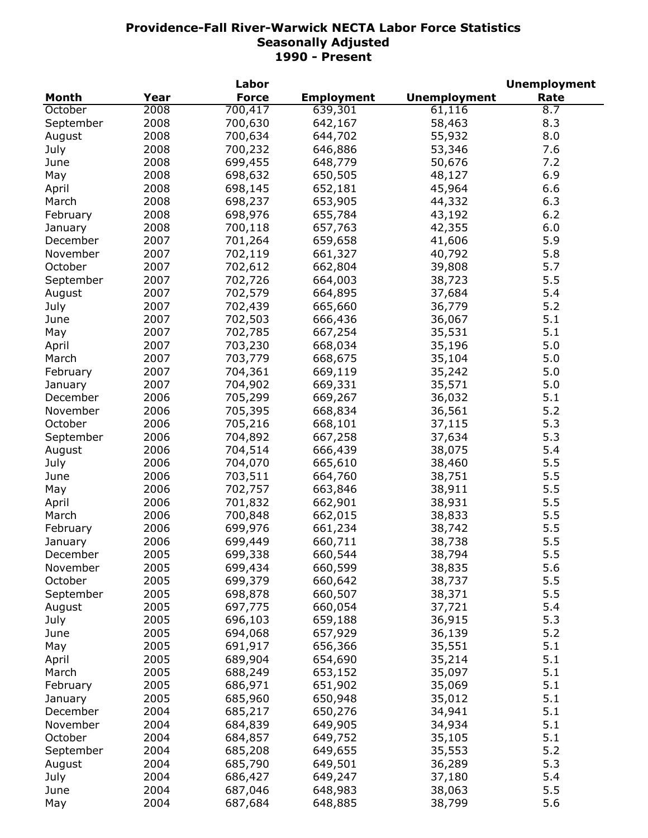|              |      | Labor        |                   |                     | <b>Unemployment</b> |
|--------------|------|--------------|-------------------|---------------------|---------------------|
| <b>Month</b> | Year | <b>Force</b> | <b>Employment</b> | <b>Unemployment</b> | Rate                |
| October      | 2008 | 700,417      | 639,301           | 61,116              | 8.7                 |
| September    | 2008 | 700,630      | 642,167           | 58,463              | 8.3                 |
| August       | 2008 | 700,634      | 644,702           | 55,932              | 8.0                 |
| July         | 2008 | 700,232      | 646,886           | 53,346              | 7.6                 |
| June         | 2008 | 699,455      | 648,779           | 50,676              | 7.2                 |
| May          | 2008 | 698,632      | 650,505           | 48,127              | 6.9                 |
|              | 2008 |              |                   |                     | 6.6                 |
| April        |      | 698,145      | 652,181           | 45,964              |                     |
| March        | 2008 | 698,237      | 653,905           | 44,332              | 6.3                 |
| February     | 2008 | 698,976      | 655,784           | 43,192              | 6.2                 |
| January      | 2008 | 700,118      | 657,763           | 42,355              | 6.0                 |
| December     | 2007 | 701,264      | 659,658           | 41,606              | 5.9                 |
| November     | 2007 | 702,119      | 661,327           | 40,792              | 5.8                 |
| October      | 2007 | 702,612      | 662,804           | 39,808              | 5.7                 |
| September    | 2007 | 702,726      | 664,003           | 38,723              | 5.5                 |
| August       | 2007 | 702,579      | 664,895           | 37,684              | 5.4                 |
| July         | 2007 | 702,439      | 665,660           | 36,779              | 5.2                 |
| June         | 2007 | 702,503      | 666,436           | 36,067              | 5.1                 |
| May          | 2007 | 702,785      | 667,254           | 35,531              | 5.1                 |
| April        | 2007 | 703,230      | 668,034           | 35,196              | 5.0                 |
| March        | 2007 | 703,779      | 668,675           | 35,104              | 5.0                 |
| February     | 2007 | 704,361      | 669,119           | 35,242              | 5.0                 |
| January      | 2007 | 704,902      | 669,331           | 35,571              | 5.0                 |
| December     | 2006 | 705,299      | 669,267           | 36,032              | 5.1                 |
| November     | 2006 | 705,395      |                   | 36,561              | 5.2                 |
|              |      |              | 668,834           |                     |                     |
| October      | 2006 | 705,216      | 668,101           | 37,115              | 5.3                 |
| September    | 2006 | 704,892      | 667,258           | 37,634              | 5.3                 |
| August       | 2006 | 704,514      | 666,439           | 38,075              | 5.4                 |
| July         | 2006 | 704,070      | 665,610           | 38,460              | 5.5                 |
| June         | 2006 | 703,511      | 664,760           | 38,751              | 5.5                 |
| May          | 2006 | 702,757      | 663,846           | 38,911              | 5.5                 |
| April        | 2006 | 701,832      | 662,901           | 38,931              | 5.5                 |
| March        | 2006 | 700,848      | 662,015           | 38,833              | 5.5                 |
| February     | 2006 | 699,976      | 661,234           | 38,742              | 5.5                 |
| January      | 2006 | 699,449      | 660,711           | 38,738              | 5.5                 |
| December     | 2005 | 699,338      | 660,544           | 38,794              | 5.5                 |
| November     | 2005 | 699,434      | 660,599           | 38,835              | 5.6                 |
| October      | 2005 | 699,379      | 660,642           | 38,737              | 5.5                 |
| September    | 2005 | 698,878      | 660,507           | 38,371              | 5.5                 |
| August       | 2005 | 697,775      | 660,054           | 37,721              | 5.4                 |
| July         | 2005 | 696,103      | 659,188           | 36,915              | 5.3                 |
| June         | 2005 | 694,068      | 657,929           | 36,139              | 5.2                 |
|              | 2005 | 691,917      | 656,366           | 35,551              | 5.1                 |
| May          |      |              |                   |                     |                     |
| April        | 2005 | 689,904      | 654,690           | 35,214              | 5.1                 |
| March        | 2005 | 688,249      | 653,152           | 35,097              | 5.1                 |
| February     | 2005 | 686,971      | 651,902           | 35,069              | 5.1                 |
| January      | 2005 | 685,960      | 650,948           | 35,012              | 5.1                 |
| December     | 2004 | 685,217      | 650,276           | 34,941              | 5.1                 |
| November     | 2004 | 684,839      | 649,905           | 34,934              | 5.1                 |
| October      | 2004 | 684,857      | 649,752           | 35,105              | 5.1                 |
| September    | 2004 | 685,208      | 649,655           | 35,553              | 5.2                 |
| August       | 2004 | 685,790      | 649,501           | 36,289              | 5.3                 |
| July         | 2004 | 686,427      | 649,247           | 37,180              | 5.4                 |
| June         | 2004 | 687,046      | 648,983           | 38,063              | 5.5                 |
| May          | 2004 | 687,684      | 648,885           | 38,799              | 5.6                 |